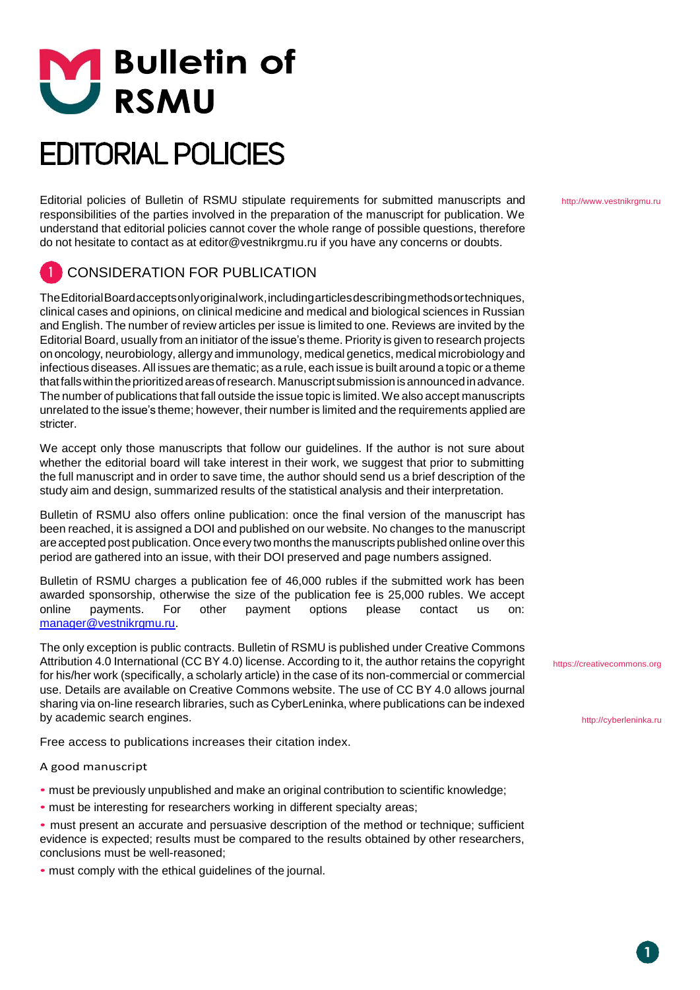# **M** Bulletin of

# **EDITORIAL POLICIES**

Editorial policies of Bulletin of RSMU stipulate requirements for submitted manuscripts and responsibilities of the parties involved in the preparation of the manuscript for publication. We understand that editorial policies cannot cover the whole range of possible questions, therefore do not hesitate to contact as at [editor@vestnikrgmu.ru if](mailto:editor@vestnikrgmu.ru) you have any concerns or doubts.

# CONSIDERATION FOR PUBLICATION

The Editorial Board accepts only original work, including articles describing methods or techniques, clinical cases and opinions, on clinical medicine and medical and biological sciences in Russian and English. The number of review articles per issue is limited to one. Reviews are invited by the Editorial Board, usually from an initiator of the issue's theme. Priority is given to research projects on oncology, neurobiology, allergy and immunology, medical genetics, medical microbiology and infectious diseases. All issues are thematic; as a rule, each issue is built around a topic or a theme that falls within the prioritized areas of research. Manuscript submission is announced in advance. The number of publications that fall outside the issue topic is limited. We also accept manuscripts unrelated to the issue's theme; however, their number is limited and the requirements applied are stricter.

We accept only those manuscripts that follow our guidelines. If the author is not sure about whether the editorial board will take interest in their work, we suggest that prior to submitting the full manuscript and in order to save time, the author should send us a brief description of the study aim and design, summarized results of the statistical analysis and their interpretation.

Bulletin of RSMU also offers online publication: once the final version of the manuscript has been reached, it is assigned a DOI and published on our website. No changes to the manuscript are accepted post publication. Once every two months the manuscripts published online over this period are gathered into an issue, with their DOI preserved and page numbers assigned.

Bulletin of RSMU charges a publication fee of 46,000 rubles if the submitted work has been awarded sponsorship, otherwise the size of the publication fee is 25,000 rubles. We accept online payments. For other payment options please contact us on: [manager@vestnikrgmu.ru.](mailto:manager@vestnikrgmu.ru)

The only exception is public contracts. Bulletin of RSMU is published under Creative Commons Attribution 4.0 International (CC BY 4.0) license. According to it, the author retains the copyright for his/her work (specifically, a scholarly article) in the case of its non-commercial or commercial use. Details are available on Creative Commons website. The use of CC BY 4.0 allows journal sharing via on-line research libraries, such as CyberLeninka, where publications can be indexed by academic search engines.

Free access to publications increases their citation index.

#### A good manuscript

- must be previously unpublished and make an original contribution to scientific knowledge;
- must be interesting for researchers working in different specialty areas;
- must present an accurate and persuasive description of the method or technique; sufficient evidence is expected; results must be compared to the results obtained by other researchers, conclusions must be well-reasoned;
- must comply with the ethical guidelines of the journal.

[http://www.vestnikrgmu.ru](http://www.vestnikrgmu.ru/)

https://creativecommons.org

[http://cyberleninka.ru](http://cyberleninka.ru/)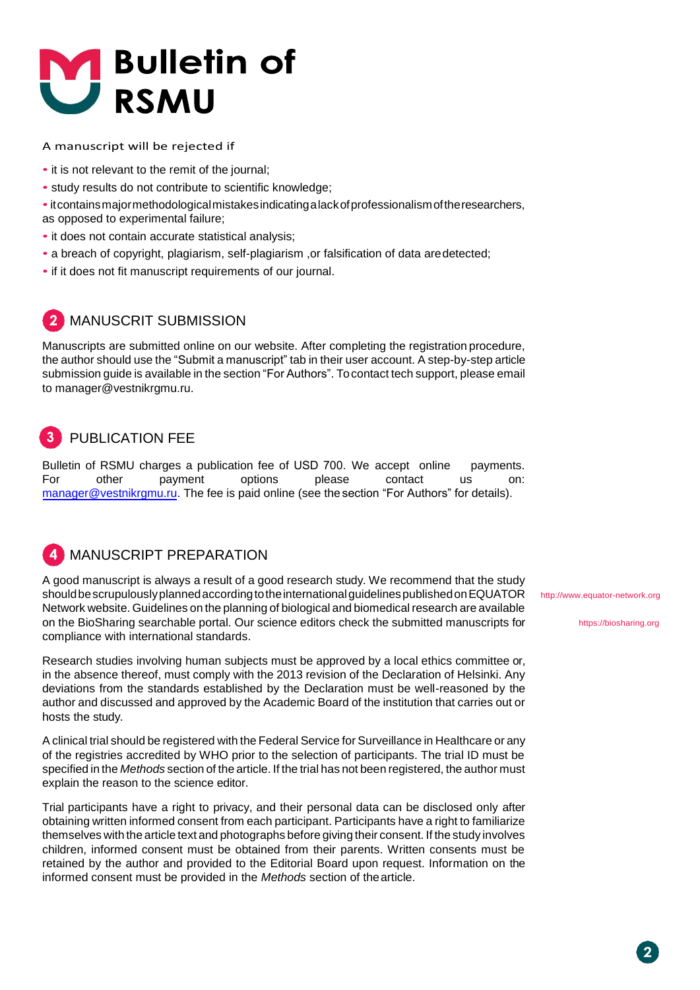

A manuscript will be rejected if

- it is not relevant to the remit of the journal;
- study results do not contribute to scientific knowledge;
- •it contains major methodological mistakes indicating a lack of professionalism ofthe researchers, as opposed to experimental failure;
- it does not contain accurate statistical analysis;
- a breach of copyright, plagiarism, self-plagiarism ,or falsification of data are detected;
- if it does not fit manuscript requirements of our journal.

### MANUSCRIT SUBMISSION

Manuscripts are submitted online on our website. After completing the registration procedure, the author should use the "Submit a manuscript" tab in their user account. A step-by-step article submission guide is available in the section "For Authors". To contact tech support, please email to [manager@vestnikrgmu.ru.](mailto:manager@vestnikrgmu.ru)

# PUBLICATION FEE

Bulletin of RSMU charges a publication fee of USD 700. We accept online payments. For other payment options please contact us on: [manager@vestnikrgmu.ru.](mailto:manager@vestnikrgmu.ru) The fee is paid online (see the section "For Authors" for details).

### MANUSCRIPT PREPARATION

A good manuscript is always a result of a good research study. We recommend that the study should be scrupulously planned according to the international guidelines published on EQUATOR Network website. Guidelines on the planning of biological and biomedical research are available on the BioSharing searchable portal. Our science editors check the submitted manuscripts for compliance with international standards.

Research studies involving human subjects must be approved by a local ethics committee or, in the absence thereof, must comply with the 2013 revision of the Declaration of Helsinki. Any deviations from the standards established by the Declaration must be well-reasoned by the author and discussed and approved by the Academic Board of the institution that carries out or hosts the study.

A clinical trial should be registered with the Federal Service for Surveillance in Healthcare or any of the registries accredited by WHO prior to the selection of participants. The trial ID must be specified in the *Methods* section of the article. If the trial has not been registered, the author must explain the reason to the science editor.

Trial participants have a right to privacy, and their personal data can be disclosed only after obtaining written informed consent from each participant. Participants have a right to familiarize themselves with the article text and photographs before giving their consent. If the study involves children, informed consent must be obtained from their parents. Written consents must be retained by the author and provided to the Editorial Board upon request. Information on the informed consent must be provided in the *Methods* section of the article.

[http://www.equator-network.org](http://www.equator-network.org/)

https://biosharing.org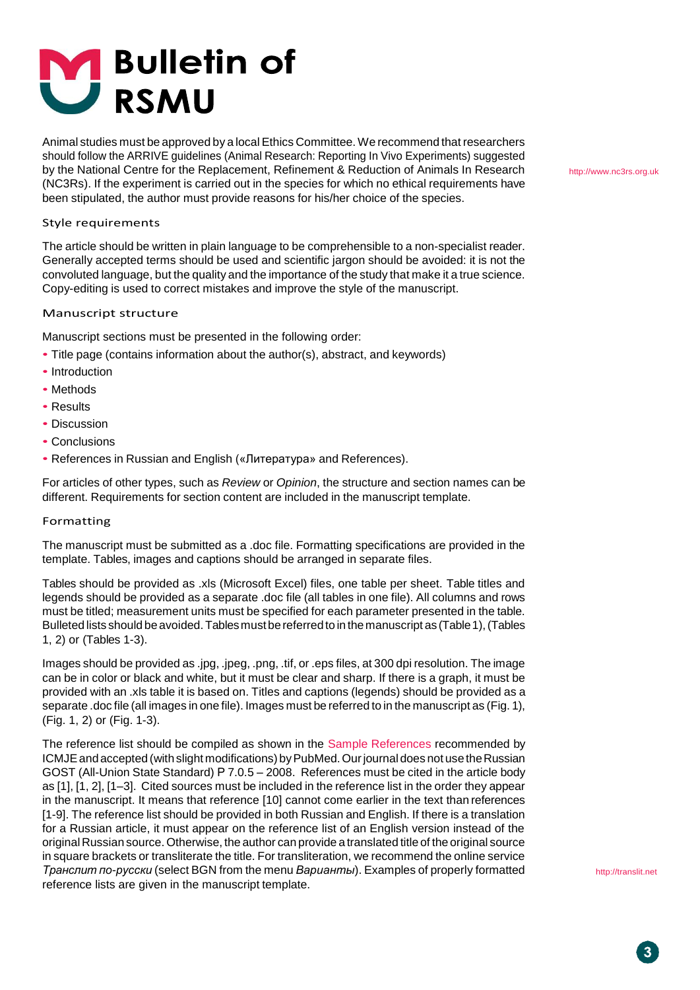

Animal studies must be approved by a local Ethics Committee.We recommend that researchers should follow the ARRIVE guidelines (Animal Research: Reporting In Vivo Experiments) suggested by the National Centre for the Replacement, Refinement & Reduction of Animals In Research (NC3Rs). If the experiment is carried out in the species for which no ethical requirements have been stipulated, the author must provide reasons for his/her choice of the species.

#### Style requirements

The article should be written in plain language to be comprehensible to a non-specialist reader. Generally accepted terms should be used and scientific jargon should be avoided: it is not the convoluted language, but the quality and the importance of the study that make it a true science. Copy-editing is used to correct mistakes and improve the style of the manuscript.

#### Manuscript structure

Manuscript sections must be presented in the following order:

- Title page (contains information about the author(s), abstract, and keywords)
- Introduction
- Methods
- Results
- Discussion
- Conclusions
- References in Russian and English («Литература» and References).

For articles of other types, such as *Review* or *Opinion*, the structure and section names can be different. Requirements for section content are included in the manuscript template.

#### Formatting

The manuscript must be submitted as a .doc file. Formatting specifications are provided in the template. Tables, images and captions should be arranged in separate files.

Tables should be provided as .xls (Microsoft Excel) files, one table per sheet. Table titles and legends should be provided as a separate .doc file (all tables in one file). All columns and rows must be titled; measurement units must be specified for each parameter presented in the table. Bulleted lists should be avoided.Tablesmustbereferred to in the manuscript as (Table1),(Tables 1, 2) or (Tables 1-3).

Images should be provided as .jpg, .jpeg, .png, .tif, or .eps files, at 300 dpi resolution. The image can be in color or black and white, but it must be clear and sharp. If there is a graph, it must be provided with an .xls table it is based on. Titles and captions (legends) should be provided as a separate .doc file (all images in one file). Images must be referred to in the manuscript as (Fig. 1), (Fig. 1, 2) or (Fig. 1-3).

The reference list should be compiled as shown in the [Sample References r](https://www.nlm.nih.gov/bsd/uniform_requirements.html)ecommended by ICMJE and accepted (with slight modifications) by PubMed. Our journal does not use the Russian GOST (All-Union State Standard) Р 7.0.5 – 2008. References must be cited in the article body as [1], [1, 2], [1–3]. Cited sources must be included in the reference list in the order they appear in the manuscript. It means that reference [10] cannot come earlier in the text than references [1-9]. The reference list should be provided in both Russian and English. If there is a translation for a Russian article, it must appear on the reference list of an English version instead of the original Russian source. Otherwise, the author can provide a translated title of the original source in square brackets or transliterate the title. For transliteration, we recommend the online service *Транслит по-русски* (select BGN from the menu *Варианты*). Examples of properly formatted reference lists are given in the manuscript template.

[http://www.nc3rs.org.uk](http://www.nc3rs.org.uk/)

[http://translit.net](http://translit.net/)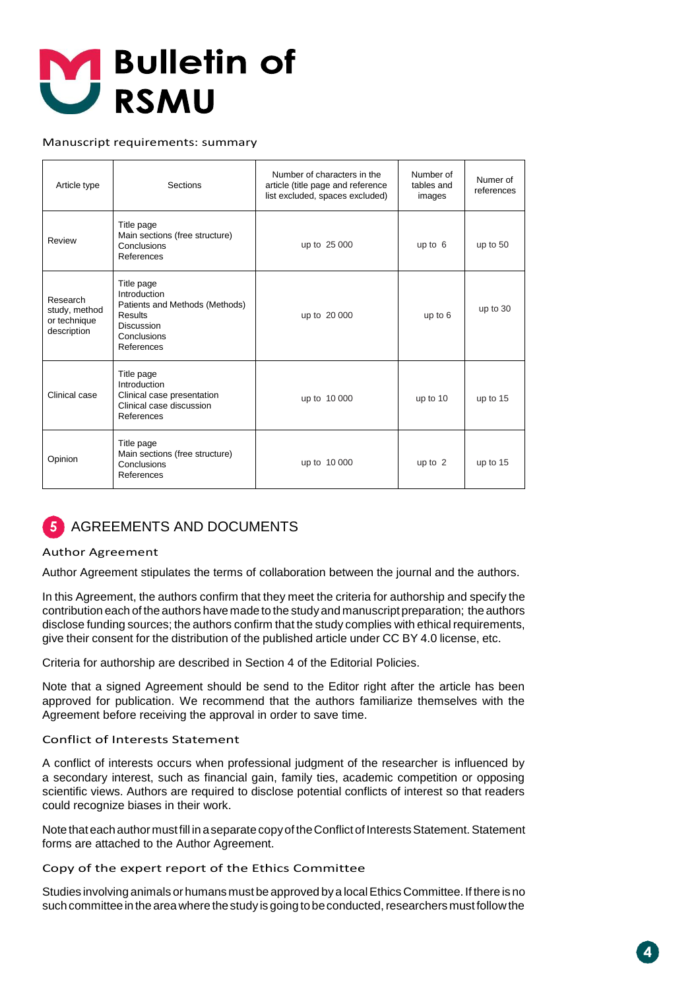

#### Manuscript requirements: summary

| Article type                                             | Sections                                                                                                                  | Number of characters in the<br>article (title page and reference<br>list excluded, spaces excluded) | Number of<br>tables and<br>images | Numer of<br>references |
|----------------------------------------------------------|---------------------------------------------------------------------------------------------------------------------------|-----------------------------------------------------------------------------------------------------|-----------------------------------|------------------------|
| Review                                                   | Title page<br>Main sections (free structure)<br>Conclusions<br>References                                                 | up to 25 000                                                                                        | up to $6$                         | up to $50$             |
| Research<br>study, method<br>or technique<br>description | Title page<br>Introduction<br>Patients and Methods (Methods)<br>Results<br><b>Discussion</b><br>Conclusions<br>References | up to 20 000                                                                                        | up to 6                           | up to 30               |
| Clinical case                                            | Title page<br>Introduction<br>Clinical case presentation<br>Clinical case discussion<br>References                        | up to 10 000                                                                                        | up to 10                          | up to 15               |
| Opinion                                                  | Title page<br>Main sections (free structure)<br>Conclusions<br>References                                                 | up to 10 000                                                                                        | up to $2$                         | up to 15               |

#### AGREEMENTS AND DOCUMENTS  $\overline{5}$

#### Author Agreement

Author Agreement stipulates the terms of collaboration between the journal and the authors.

In this Agreement, the authors confirm that they meet the criteria for authorship and specify the contribution each of the authors have made to the study and manuscript preparation; the authors disclose funding sources; the authors confirm that the study complies with ethical requirements, give their consent for the distribution of the published article under CC BY 4.0 license, etc.

Criteria for authorship are described in Section 4 of the Editorial Policies.

Note that a signed Agreement should be send to the Editor right after the article has been approved for publication. We recommend that the authors familiarize themselves with the Agreement before receiving the approval in order to save time.

#### Conflict of Interests Statement

A conflict of interests occurs when professional judgment of the researcher is influenced by a secondary interest, such as financial gain, family ties, academic competition or opposing scientific views. Authors are required to disclose potential conflicts of interest so that readers could recognize biases in their work.

Note that each author must fill in a separate copy of the Conflict of Interests Statement. Statement forms are attached to the Author Agreement.

Copy of the expert report of the Ethics Committee

Studies involving animals or humans must be approved by a local Ethics Committee. If there is no such committee in the area where the study is going to be conducted, researchers must follow the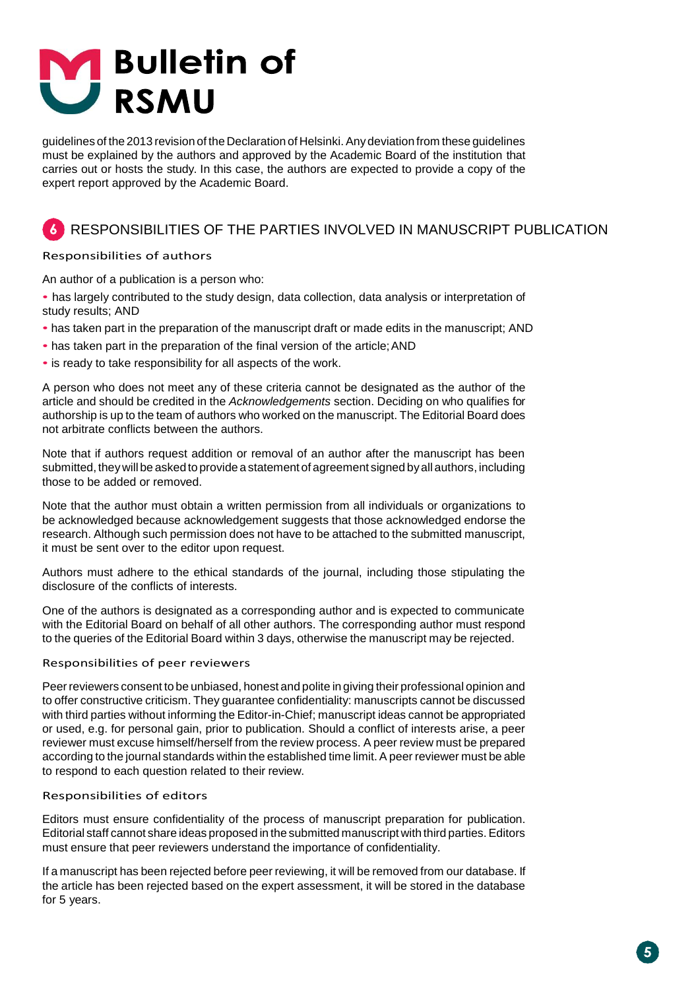# **Bulletin of** U RSMU

guidelines of the 2013 revision of the Declaration of Helsinki.Any deviation from these guidelines must be explained by the authors and approved by the Academic Board of the institution that carries out or hosts the study. In this case, the authors are expected to provide a copy of the expert report approved by the Academic Board.

## RESPONSIBILITIES OF THE PARTIES INVOLVED IN MANUSCRIPT PUBLICATION

#### Responsibilities of authors

An author of a publication is a person who:

- has largely contributed to the study design, data collection, data analysis or interpretation of study results; AND
- has taken part in the preparation of the manuscript draft or made edits in the manuscript; AND
- has taken part in the preparation of the final version of the article;AND
- is ready to take responsibility for all aspects of the work.

A person who does not meet any of these criteria cannot be designated as the author of the article and should be credited in the *Acknowledgements* section. Deciding on who qualifies for authorship is up to the team of authors who worked on the manuscript. The Editorial Board does not arbitrate conflicts between the authors.

Note that if authors request addition or removal of an author after the manuscript has been submitted, theywill be asked to provide a statement of agreement signed byall authors, including those to be added or removed.

Note that the author must obtain a written permission from all individuals or organizations to be acknowledged because acknowledgement suggests that those acknowledged endorse the research. Although such permission does not have to be attached to the submitted manuscript, it must be sent over to the editor upon request.

Authors must adhere to the ethical standards of the journal, including those stipulating the disclosure of the conflicts of interests.

One of the authors is designated as a corresponding author and is expected to communicate with the Editorial Board on behalf of all other authors. The corresponding author must respond to the queries of the Editorial Board within 3 days, otherwise the manuscript may be rejected.

#### Responsibilities of peer reviewers

Peer reviewers consent to be unbiased, honest and polite in giving their professional opinion and to offer constructive criticism. They guarantee confidentiality: manuscripts cannot be discussed with third parties without informing the Editor-in-Chief; manuscript ideas cannot be appropriated or used, e.g. for personal gain, prior to publication. Should a conflict of interests arise, a peer reviewer must excuse himself/herself from the review process. A peer review must be prepared according to the journal standards within the established time limit. A peer reviewer must be able to respond to each question related to their review.

#### Responsibilities of editors

Editors must ensure confidentiality of the process of manuscript preparation for publication. Editorial staff cannot share ideas proposed in the submitted manuscript with third parties.Editors must ensure that peer reviewers understand the importance of confidentiality.

If a manuscript has been rejected before peer reviewing, it will be removed from our database. If the article has been rejected based on the expert assessment, it will be stored in the database for 5 years.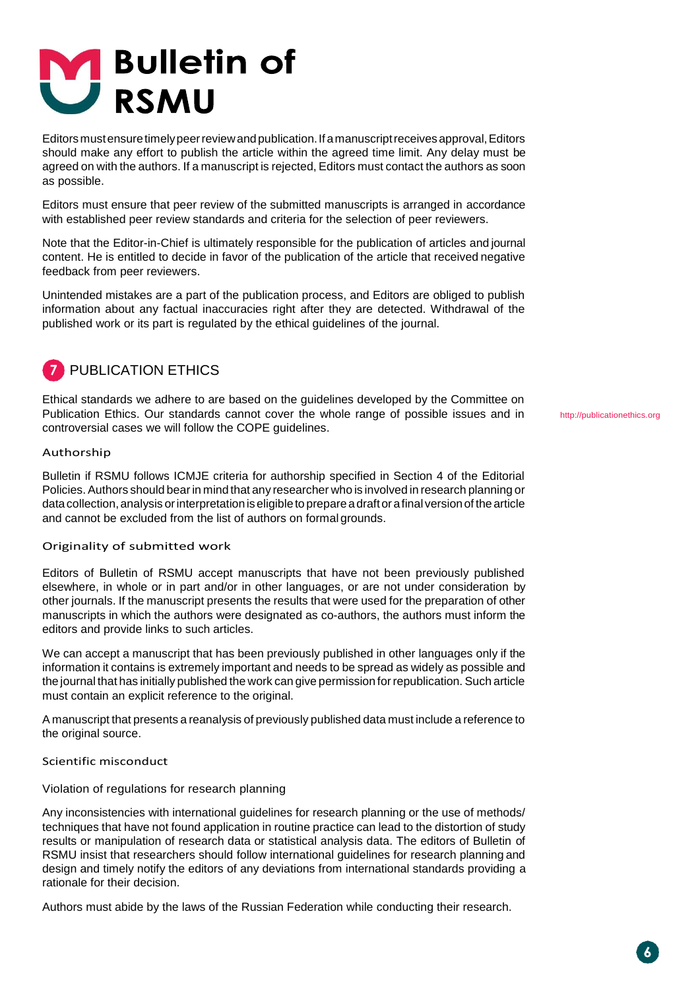# **M** Bulletin of<br>SMU

Editors must ensure timely peer review and publication. If a manuscript receives approval, Editors should make any effort to publish the article within the agreed time limit. Any delay must be agreed on with the authors. If a manuscript is rejected, Editors must contact the authors as soon as possible.

Editors must ensure that peer review of the submitted manuscripts is arranged in accordance with established peer review standards and criteria for the selection of peer reviewers.

Note that the Editor-in-Chief is ultimately responsible for the publication of articles and journal content. He is entitled to decide in favor of the publication of the article that received negative feedback from peer reviewers.

Unintended mistakes are a part of the publication process, and Editors are obliged to publish information about any factual inaccuracies right after they are detected. Withdrawal of the published work or its part is regulated by the ethical guidelines of the journal.



Ethical standards we adhere to are based on the guidelines developed by the Committee on Publication Ethics. Our standards cannot cover the whole range of possible issues and in controversial cases we will follow the COPE guidelines.

Authorship

Bulletin if RSMU follows ICMJE criteria for authorship specified in Section 4 of the Editorial Policies. Authors should bear in mind that any researcher who is involved in research planning or data collection, analysis or interpretation is eligible to prepare a draft or a final version of the article and cannot be excluded from the list of authors on formal grounds.

#### Originality of submitted work

Editors of Bulletin of RSMU accept manuscripts that have not been previously published elsewhere, in whole or in part and/or in other languages, or are not under consideration by other journals. If the manuscript presents the results that were used for the preparation of other manuscripts in which the authors were designated as co-authors, the authors must inform the editors and provide links to such articles.

We can accept a manuscript that has been previously published in other languages only if the information it contains is extremely important and needs to be spread as widely as possible and the journal that has initially published the work can give permission forrepublication. Such article must contain an explicit reference to the original.

A manuscript that presents a reanalysis of previously published data must include a reference to the original source.

Scientific misconduct

#### Violation of regulations for research planning

Any inconsistencies with international guidelines for research planning or the use of methods/ techniques that have not found application in routine practice can lead to the distortion of study results or manipulation of research data or statistical analysis data. The editors of Bulletin of RSMU insist that researchers should follow international guidelines for research planning and design and timely notify the editors of any deviations from international standards providing a rationale for their decision.

Authors must abide by the laws of the Russian Federation while conducting their research.

[http://publicationethics.org](http://publicationethics.org/)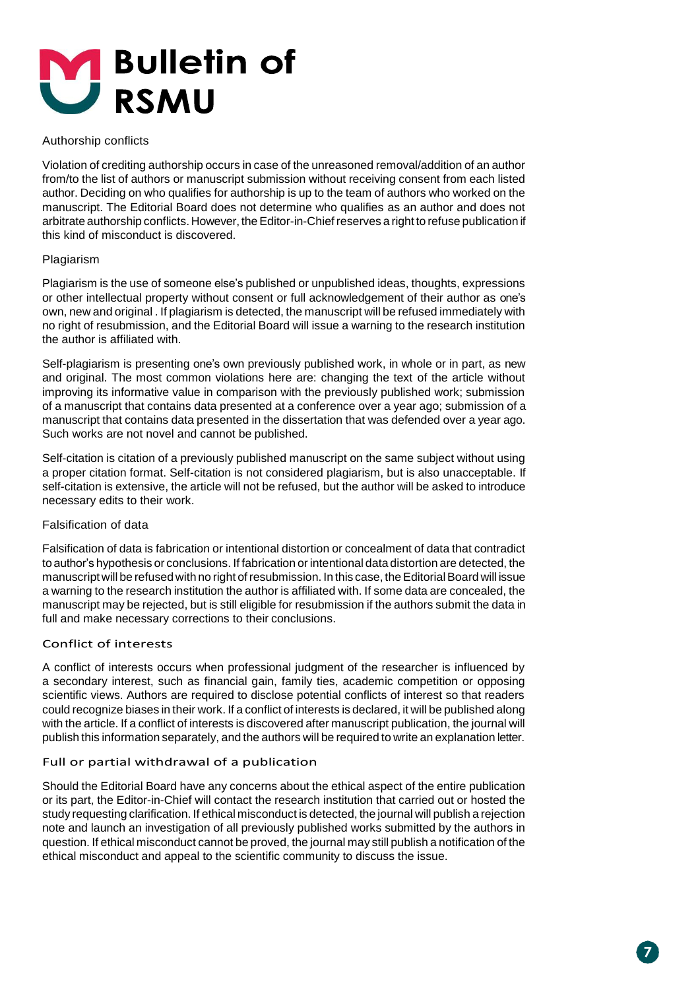

#### Authorship conflicts

Violation of crediting authorship occurs in case of the unreasoned removal/addition of an author from/to the list of authors or manuscript submission without receiving consent from each listed author. Deciding on who qualifies for authorship is up to the team of authors who worked on the manuscript. The Editorial Board does not determine who qualifies as an author and does not arbitrate authorship conflicts. However, the Editor-in-Chief reserves a right to refuse publication if this kind of misconduct is discovered.

#### Plagiarism

Plagiarism is the use of someone else's published or unpublished ideas, thoughts, expressions or other intellectual property without consent or full acknowledgement of their author as one's own, new and original . If plagiarism is detected, the manuscript will be refused immediately with no right of resubmission, and the Editorial Board will issue a warning to the research institution the author is affiliated with.

Self-plagiarism is presenting one's own previously published work, in whole or in part, as new and original. The most common violations here are: changing the text of the article without improving its informative value in comparison with the previously published work; submission of a manuscript that contains data presented at a conference over a year ago; submission of a manuscript that contains data presented in the dissertation that was defended over a year ago. Such works are not novel and cannot be published.

Self-citation is citation of a previously published manuscript on the same subject without using a proper citation format. Self-citation is not considered plagiarism, but is also unacceptable. If self-citation is extensive, the article will not be refused, but the author will be asked to introduce necessary edits to their work.

#### Falsification of data

Falsification of data is fabrication or intentional distortion or concealment of data that contradict to author's hypothesis or conclusions. If fabrication or intentional data distortion are detected, the manuscript will be refused with no right of resubmission. In this case, the Editorial Board will issue a warning to the research institution the author is affiliated with. If some data are concealed, the manuscript may be rejected, but is still eligible for resubmission if the authors submit the data in full and make necessary corrections to their conclusions.

#### Conflict of interests

A conflict of interests occurs when professional judgment of the researcher is influenced by a secondary interest, such as financial gain, family ties, academic competition or opposing scientific views. Authors are required to disclose potential conflicts of interest so that readers could recognize biases in their work. If a conflict of interests is declared, it will be published along with the article. If a conflict of interests is discovered after manuscript publication, the journal will publish this information separately, and the authors will be required to write an explanation letter.

#### Full or partial withdrawal of a publication

Should the Editorial Board have any concerns about the ethical aspect of the entire publication or its part, the Editor-in-Chief will contact the research institution that carried out or hosted the study requesting clarification. If ethical misconduct is detected, the journal will publish a rejection note and launch an investigation of all previously published works submitted by the authors in question. If ethical misconduct cannot be proved, the journal may still publish a notification of the ethical misconduct and appeal to the scientific community to discuss the issue.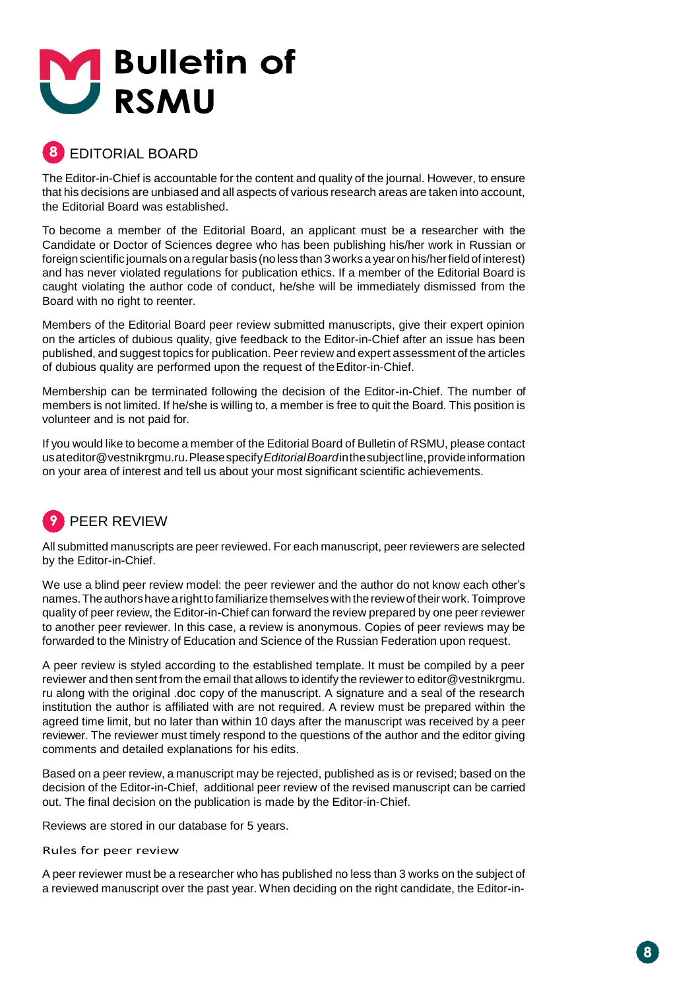

# EDITORIAL BOARD

The Editor-in-Chief is accountable for the content and quality of the journal. However, to ensure that his decisions are unbiased and all aspects of various research areas are taken into account, the Editorial Board was established.

To become a member of the Editorial Board, an applicant must be a researcher with the Candidate or Doctor of Sciences degree who has been publishing his/her work in Russian or foreignscientific journals on aregular basis (no less than 3works a yearon his/herfieldof interest) and has never violated regulations for publication ethics. If a member of the Editorial Board is caught violating the author code of conduct, he/she will be immediately dismissed from the Board with no right to reenter.

Members of the Editorial Board peer review submitted manuscripts, give their expert opinion on the articles of dubious quality, give feedback to the Editor-in-Chief after an issue has been published, and suggest topics for publication. Peer review and expert assessment of the articles of dubious quality are performed upon the request of theEditor-in-Chief.

Membership can be terminated following the decision of the Editor-in-Chief. The number of members is not limited. If he/she is willing to, a member is free to quit the Board. This position is volunteer and is not paid for.

If you would like to become a member of the Editorial Board of Bulletin of RSMU, please contact usa[teditor@vestnikrgmu.ru.P](mailto:editor@vestnikrgmu.ru)leasespecify*EditorialBoard*inthesubjectline,provideinformation on your area of interest and tell us about your most significant scientific achievements.

# PEER REVIEW

All submitted manuscripts are peer reviewed. For each manuscript, peer reviewers are selected by the Editor-in-Chief.

We use a blind peer review model: the peer reviewer and the author do not know each other's names. The authors have a right to familiarize themselves with the review of their work. Toimprove quality of peer review, the Editor-in-Chief can forward the review prepared by one peer reviewer to another peer reviewer. In this case, a review is anonymous. Copies of peer reviews may be forwarded to the Ministry of Education and Science of the Russian Federation upon request.

A peer review is styled according to the established template. It must be compiled by a peer reviewer and then sent from the email that allows to identify the reviewer to editor@vestnikrgmu. ru along with the original .doc copy of the manuscript. A signature and a seal of the research institution the author is affiliated with are not required. A review must be prepared within the agreed time limit, but no later than within 10 days after the manuscript was received by a peer reviewer. The reviewer must timely respond to the questions of the author and the editor giving comments and detailed explanations for his edits.

Based on a peer review, a manuscript may be rejected, published as is or revised; based on the decision of the Editor-in-Chief, additional peer review of the revised manuscript can be carried out. The final decision on the publication is made by the Editor-in-Chief.

Reviews are stored in our database for 5 years.

Rules for peer review

A peer reviewer must be a researcher who has published no less than 3 works on the subject of a reviewed manuscript over the past year. When deciding on the right candidate, the Editor-in-